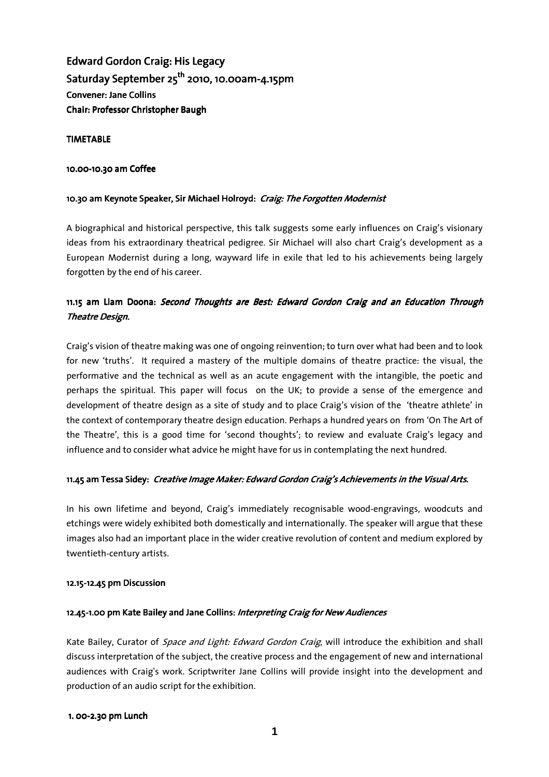Edward Gordon Craig: His Legacy Saturday September  $25^{th}$  2010, 10.00am-4.15pm **Convener: Jane Collins** Chair: Professor Christopher Baugh

#### **TIMETABLE**

#### 10.00-10.30 am Coffee

#### 10.30 am Keynote Speaker, Sir Michael Holroyd: Craig: The Forgotten Modernist

A biographical and historical perspective, this talk suggests some early influences on Craig's visionary ideas from his extraordinary theatrical pedigree. Sir Michael will also chart Craig's development as a European Modernist during a long, wayward life in exile that led to his achievements being largely forgotten by the end of his career.

# 11.15 am Liam Doona: Second Thoughts are Best: Edward Gordon Craig and an Education Through Theatre Design.

Craig's vision of theatre making was one of ongoing reinvention; to turn over what had been and to look for new 'truths'. It required a mastery of the multiple domains of theatre practice: the visual, the performative and the technical as well as an acute engagement with the intangible, the poetic and perhaps the spiritual. This paper will focus on the UK; to provide a sense of the emergence and development of theatre design as a site of study and to place Craig's vision of the 'theatre athlete' in the context of contemporary theatre design education. Perhaps a hundred years on from 'On The Art of the Theatre', this is a good time for 'second thoughts'; to review and evaluate Craig's legacy and influence and to consider what advice he might have for us in contemplating the next hundred.

#### 11.45 am Tessa Sidey: Creative Image Maker: Edward Gordon Craig's Achievements in the Visual Arts.

In his own lifetime and beyond, Craig's immediately recognisable wood-engravings, woodcuts and etchings were widely exhibited both domestically and internationally. The speaker will argue that these images also had an important place in the wider creative revolution of content and medium explored by twentieth-century artists.

#### 12.15-12.45 pm Discussion

# 12.45-1.00 pm Kate Bailey and Jane Collins: Interpreting Craig for New Audiences

Kate Bailey, Curator of *Space and Light: Edward Gordon Craig*, will introduce the exhibition and shall discuss interpretation of the subject, the creative process and the engagement of new and international audiences with Craig's work. Scriptwriter Jane Collins will provide insight into the development and production of an audio script for the exhibition.

#### 1. 00-2.30 pm Lunch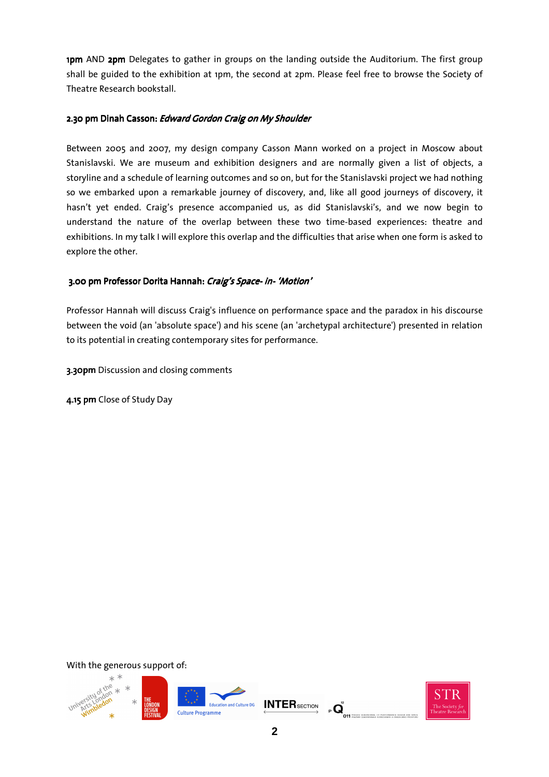1pm AND 2pm Delegates to gather in groups on the landing outside the Auditorium. The first group shall be guided to the exhibition at 1pm, the second at 2pm. Please feel free to browse the Society of Theatre Research bookstall.

### 2.30 pm Dinah Casson: Edward Gordon Craig on My Shoulder

Between 2005 and 2007, my design company Casson Mann worked on a project in Moscow about Stanislavski. We are museum and exhibition designers and are normally given a list of objects, a storyline and a schedule of learning outcomes and so on, but for the Stanislavski project we had nothing so we embarked upon a remarkable journey of discovery, and, like all good journeys of discovery, it hasn't yet ended. Craig's presence accompanied us, as did Stanislavski's, and we now begin to understand the nature of the overlap between these two time-based experiences: theatre and exhibitions. In my talk I will explore this overlap and the difficulties that arise when one form is asked to explore the other.

# 3.00 pm Professor Dorita Hannah: Craig's Space- in- 'Motion'

Professor Hannah will discuss Craig's influence on performance space and the paradox in his discourse between the void (an 'absolute space') and his scene (an 'archetypal architecture') presented in relation to its potential in creating contemporary sites for performance.

3.30pm Discussion and closing comments

4.15 pm Close of Study Day

With the generous support of:

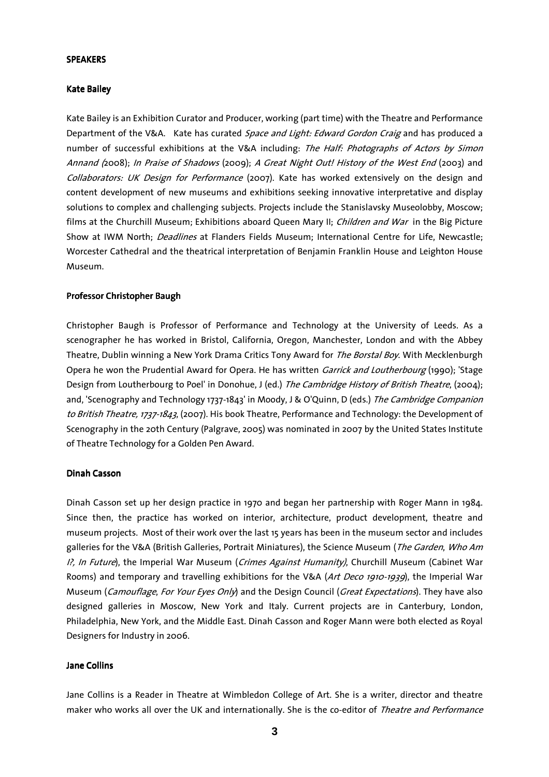#### **SPEAKERS**

#### Kate Bailey

Kate Bailey is an Exhibition Curator and Producer, working (part time) with the Theatre and Performance Department of the V&A. Kate has curated Space and Light: Edward Gordon Craig and has produced a number of successful exhibitions at the V&A including: The Half: Photographs of Actors by Simon Annand (2008); In Praise of Shadows (2009); A Great Night Out! History of the West End (2003) and Collaborators: UK Design for Performance (2007). Kate has worked extensively on the design and content development of new museums and exhibitions seeking innovative interpretative and display solutions to complex and challenging subjects. Projects include the Stanislavsky Museolobby, Moscow; films at the Churchill Museum; Exhibitions aboard Queen Mary II; Children and War in the Big Picture Show at IWM North; Deadlines at Flanders Fields Museum; International Centre for Life, Newcastle; Worcester Cathedral and the theatrical interpretation of Benjamin Franklin House and Leighton House Museum.

#### Professor Christopher Baugh

Christopher Baugh is Professor of Performance and Technology at the University of Leeds. As a scenographer he has worked in Bristol, California, Oregon, Manchester, London and with the Abbey Theatre, Dublin winning a New York Drama Critics Tony Award for *The Borstal Boy*. With Mecklenburgh Opera he won the Prudential Award for Opera. He has written *Garrick and Loutherbourg* (1990); 'Stage Design from Loutherbourg to Poel' in Donohue, J (ed.) The Cambridge History of British Theatre, (2004); and, 'Scenography and Technology 1737-1843' in Moody, J & O'Quinn, D (eds.) The Cambridge Companion to British Theatre, 1737-1843, (2007). His book Theatre, Performance and Technology: the Development of Scenography in the 20th Century (Palgrave, 2005) was nominated in 2007 by the United States Institute of Theatre Technology for a Golden Pen Award.

#### Dinah Casson

Dinah Casson set up her design practice in 1970 and began her partnership with Roger Mann in 1984. Since then, the practice has worked on interior, architecture, product development, theatre and museum projects. Most of their work over the last 15 years has been in the museum sector and includes galleries for the V&A (British Galleries, Portrait Miniatures), the Science Museum (*The Garden, Who Am* I?, In Future), the Imperial War Museum (Crimes Against Humanity), Churchill Museum (Cabinet War Rooms) and temporary and travelling exhibitions for the V&A (Art Deco 1910-1939), the Imperial War Museum (Camouflage, For Your Eyes Only) and the Design Council (Great Expectations). They have also designed galleries in Moscow, New York and Italy. Current projects are in Canterbury, London, Philadelphia, New York, and the Middle East. Dinah Casson and Roger Mann were both elected as Royal Designers for Industry in 2006.

#### Jane Collins

Jane Collins is a Reader in Theatre at Wimbledon College of Art. She is a writer, director and theatre maker who works all over the UK and internationally. She is the co-editor of Theatre and Performance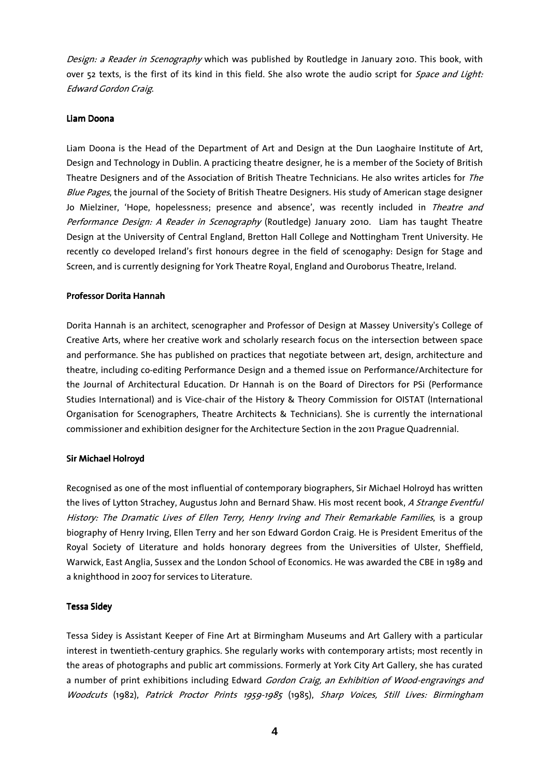Design: a Reader in Scenography which was published by Routledge in January 2010. This book, with over 52 texts, is the first of its kind in this field. She also wrote the audio script for Space and Light: Edward Gordon Craig.

### Liam Doona

Liam Doona is the Head of the Department of Art and Design at the Dun Laoghaire Institute of Art, Design and Technology in Dublin. A practicing theatre designer, he is a member of the Society of British Theatre Designers and of the Association of British Theatre Technicians. He also writes articles for The Blue Pages, the journal of the Society of British Theatre Designers. His study of American stage designer Jo Mielziner, 'Hope, hopelessness; presence and absence', was recently included in Theatre and Performance Design: A Reader in Scenography (Routledge) January 2010. Liam has taught Theatre Design at the University of Central England, Bretton Hall College and Nottingham Trent University. He recently co developed Ireland's first honours degree in the field of scenogaphy: Design for Stage and Screen, and is currently designing for York Theatre Royal, England and Ouroborus Theatre, Ireland.

### Professor Dorita Hannah

Dorita Hannah is an architect, scenographer and Professor of Design at Massey University's College of Creative Arts, where her creative work and scholarly research focus on the intersection between space and performance. She has published on practices that negotiate between art, design, architecture and theatre, including co-editing Performance Design and a themed issue on Performance/Architecture for the Journal of Architectural Education. Dr Hannah is on the Board of Directors for PSi (Performance Studies International) and is Vice-chair of the History & Theory Commission for OISTAT (International Organisation for Scenographers, Theatre Architects & Technicians). She is currently the international commissioner and exhibition designer for the Architecture Section in the 2011 Prague Quadrennial.

# Sir Michael Holroyd

Recognised as one of the most influential of contemporary biographers, Sir Michael Holroyd has written the lives of Lytton Strachey, Augustus John and Bernard Shaw. His most recent book, A Strange Eventful History: The Dramatic Lives of Ellen Terry, Henry Irving and Their Remarkable Families, is a group biography of Henry Irving, Ellen Terry and her son Edward Gordon Craig. He is President Emeritus of the Royal Society of Literature and holds honorary degrees from the Universities of Ulster, Sheffield, Warwick, East Anglia, Sussex and the London School of Economics. He was awarded the CBE in 1989 and a knighthood in 2007 for services to Literature.

# **Tessa Sidey**

Tessa Sidey is Assistant Keeper of Fine Art at Birmingham Museums and Art Gallery with a particular interest in twentieth-century graphics. She regularly works with contemporary artists; most recently in the areas of photographs and public art commissions. Formerly at York City Art Gallery, she has curated a number of print exhibitions including Edward Gordon Craig, an Exhibition of Wood-engravings and Woodcuts (1982), Patrick Proctor Prints 1959-1985 (1985), Sharp Voices, Still Lives: Birmingham